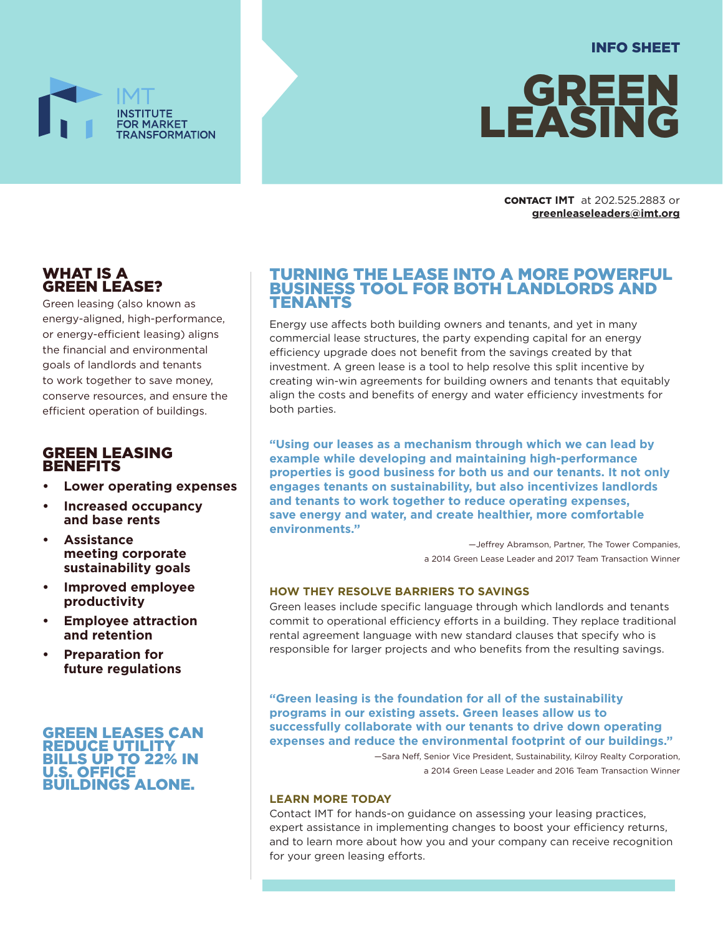INFO SHEET



# GREEN LEASING

CONTACT **IMT** at 202.525.2883 or **greenleaseleaders@imt.org**

# WHAT IS A GREEN LEASE?

Green leasing (also known as energy-aligned, high-performance, or energy-efficient leasing) aligns the financial and environmental goals of landlords and tenants to work together to save money, conserve resources, and ensure the efficient operation of buildings.

### GREEN LEASING **BENEFITS**

- **• Lower operating expenses**
- **• Increased occupancy and base rents**
- **• Assistance meeting corporate sustainability goals**
- **• Improved employee productivity**
- **• Employee attraction and retention**
- **• Preparation for future regulations**

GREEN LEASES CAN REDUCE UTILITY BILLS UP TO 22% IN U.S. OFFICE BUILDINGS ALONE.

## TURNING THE LEASE INTO A MORE POWERFUL BUSINESS TOOL FOR BOTH LANDLORDS AND **TENANTS**

Energy use affects both building owners and tenants, and yet in many commercial lease structures, the party expending capital for an energy efficiency upgrade does not benefit from the savings created by that investment. A green lease is a tool to help resolve this split incentive by creating win-win agreements for building owners and tenants that equitably align the costs and benefits of energy and water efficiency investments for both parties.

**"Using our leases as a mechanism through which we can lead by example while developing and maintaining high-performance properties is good business for both us and our tenants. It not only engages tenants on sustainability, but also incentivizes landlords and tenants to work together to reduce operating expenses, save energy and water, and create healthier, more comfortable environments."**

> —Jeffrey Abramson, Partner, The Tower Companies, a 2014 Green Lease Leader and 2017 Team Transaction Winner

#### **HOW THEY RESOLVE BARRIERS TO SAVINGS**

Green leases include specific language through which landlords and tenants commit to operational efficiency efforts in a building. They replace traditional rental agreement language with new standard clauses that specify who is responsible for larger projects and who benefits from the resulting savings.

**"Green leasing is the foundation for all of the sustainability programs in our existing assets. Green leases allow us to successfully collaborate with our tenants to drive down operating expenses and reduce the environmental footprint of our buildings."**

—Sara Neff, Senior Vice President, Sustainability, Kilroy Realty Corporation, a 2014 Green Lease Leader and 2016 Team Transaction Winner

#### **LEARN MORE TODAY**

Contact IMT for hands-on guidance on assessing your leasing practices, expert assistance in implementing changes to boost your efficiency returns, and to learn more about how you and your company can receive recognition for your green leasing efforts.